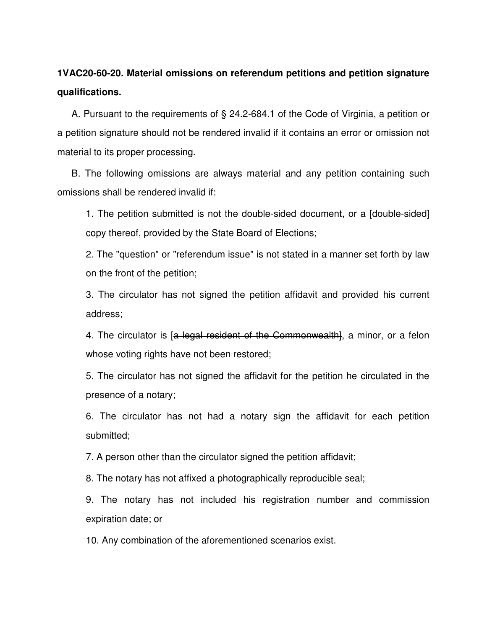## **1VAC20-60-20. Material omissions on referendum petitions and petition signature qualifications.**

A. Pursuant to the requirements of § 24.2-684.1 of the Code of Virginia, a petition or a petition signature should not be rendered invalid if it contains an error or omission not material to its proper processing.

B. The following omissions are always material and any petition containing such omissions shall be rendered invalid if:

1. The petition submitted is not the double-sided document, or a [double-sided] copy thereof, provided by the State Board of Elections;

2. The "question" or "referendum issue" is not stated in a manner set forth by law on the front of the petition;

3. The circulator has not signed the petition affidavit and provided his current address;

4. The circulator is [a legal resident of the Commonwealth], a minor, or a felon whose voting rights have not been restored;

5. The circulator has not signed the affidavit for the petition he circulated in the presence of a notary;

6. The circulator has not had a notary sign the affidavit for each petition submitted;

7. A person other than the circulator signed the petition affidavit;

8. The notary has not affixed a photographically reproducible seal;

9. The notary has not included his registration number and commission expiration date; or

10. Any combination of the aforementioned scenarios exist.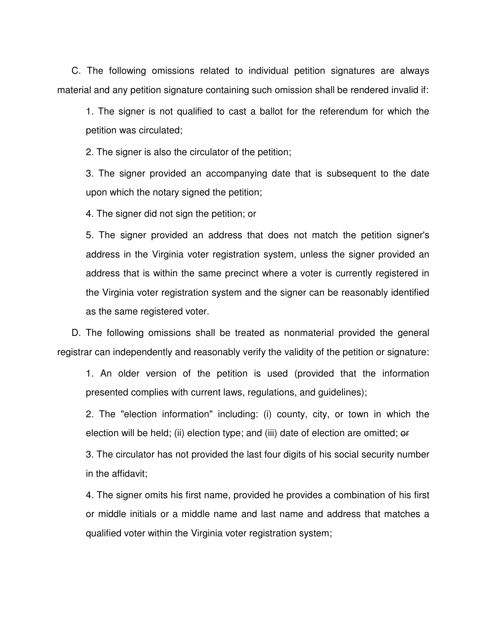C. The following omissions related to individual petition signatures are always material and any petition signature containing such omission shall be rendered invalid if:

1. The signer is not qualified to cast a ballot for the referendum for which the petition was circulated;

2. The signer is also the circulator of the petition;

3. The signer provided an accompanying date that is subsequent to the date upon which the notary signed the petition;

4. The signer did not sign the petition; or

5. The signer provided an address that does not match the petition signer's address in the Virginia voter registration system, unless the signer provided an address that is within the same precinct where a voter is currently registered in the Virginia voter registration system and the signer can be reasonably identified as the same registered voter.

D. The following omissions shall be treated as nonmaterial provided the general registrar can independently and reasonably verify the validity of the petition or signature:

1. An older version of the petition is used (provided that the information presented complies with current laws, regulations, and guidelines);

2. The "election information" including: (i) county, city, or town in which the election will be held; (ii) election type; and (iii) date of election are omitted; or

3. The circulator has not provided the last four digits of his social security number in the affidavit;

4. The signer omits his first name, provided he provides a combination of his first or middle initials or a middle name and last name and address that matches a qualified voter within the Virginia voter registration system;